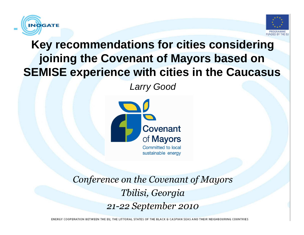



## **Key recommendations for cities considering joining the Covenant of Mayors based on SEMISE experience with cities in the Caucasus**

Larry Good



Conference on the Covenant of MayorsTbilisi, Georgia21-22 September 2010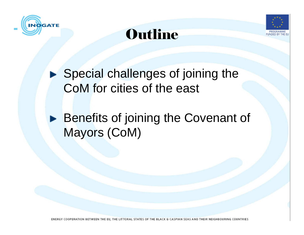





▶ Special challenges of joining the CoM for cities of the east

**Benefits of joining the Covenant of** Mayors (CoM)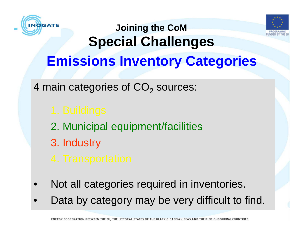



# **Joining the CoM Special ChallengesEmissions Inventory Categories**

4 main categories of  $\mathsf{CO}_2$  sources:

- 2. Municipal equipment/facilities
- 3. Industry

- •Not all categories required in inventories.
- •Data by category may be very difficult to find.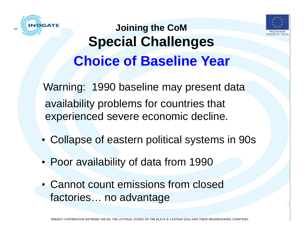



## **Joining the CoM Special ChallengesChoice of Baseline Year**

Warning: 1990 baseline may present data availability problems for countries that experienced severe economic decline.

- Collapse of eastern political systems in 90s
- Poor availability of data from 1990
- Cannot count emissions from closed factories… no advantage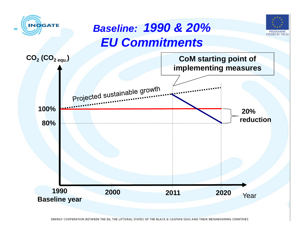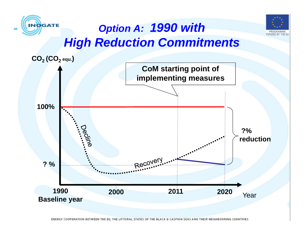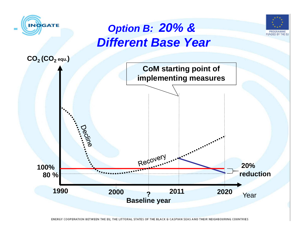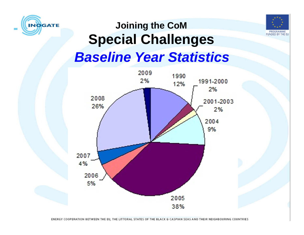



## **Baseline Year StatisticsJoining the CoM Special Challenges**

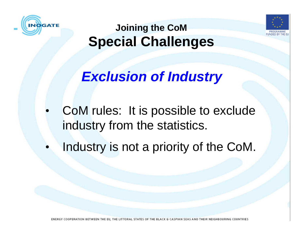



**Exclusion of Industry**

- • CoM rules: It is possible to exclude industry from the statistics.
- •Industry is not a priority of the CoM.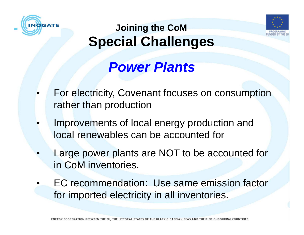



# **Power Plants**

- • For electricity, Covenant focuses on consumption rather than production
- • Improvements of local energy production and local renewables can be accounted for
- • Large power plants are NOT to be accounted for in CoM inventories.
- • EC recommendation: Use same emission factor for imported electricity in all inventories.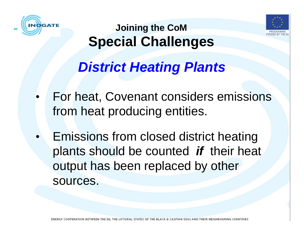



# **District Heating Plants**

- • For heat, Covenant considers emissions from heat producing entities.
- • Emissions from closed district heating plants should be counted **if** their heat output has been replaced by other sources.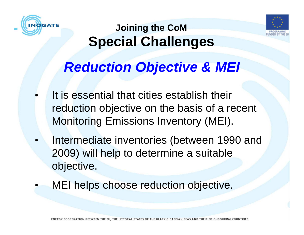



# **Reduction Objective & MEI**

- • It is essential that cities establish their reduction objective on the basis of a recent Monitoring Emissions Inventory (MEI).
- • Intermediate inventories (between 1990 and 2009) will help to determine a suitable objective.
- •MEI helps choose reduction objective.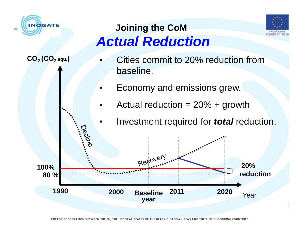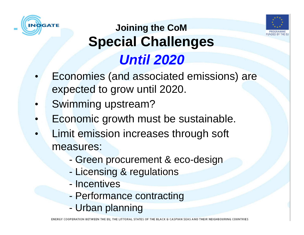



## **Until 2020Joining the CoM Special Challenges**

- Economies (and associated emissions) are •expected to grow until 2020.
- •Swimming upstream?
- **Economic growth must be sustainable.** •
- • Limit emission increases through soft measures:
	- Green procurement & eco-design
	- Licensing & regulations
	- -**Incentives**
	- Performance contracting
	- Urban planning

ENERGY COOPERATION BETWEEN THE EL THEIR NEIGHBOURING COUNTRIES THE LITTORAL STATES OF THE BLACK & CASPIAN SEA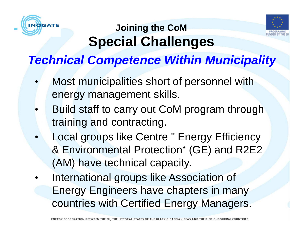



## **Technical Competence Within Municipality**

- • Most municipalities short of personnel with energy management skills.
- •• Build staff to carry out CoM program through<br>troining and contracting training and contracting.
- • Local groups like Centre " Energy Efficiency & Environmental Protection" (GE) and R2E2 (AM) have technical capacity.
- • International groups like Association of Energy Engineers have chapters in many countries with Certified Energy Managers.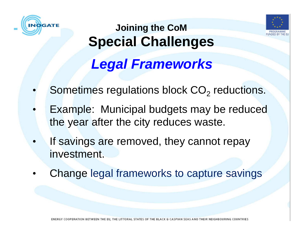



# **Joining the CoM Special ChallengesLegal Frameworks**

- •Sometimes regulations block  $CO<sub>2</sub>$  reductions.
- • Example: Municipal budgets may be reduced the year after the city reduces waste.
- •If savings are removed, they cannot repay investment.
- •Change legal frameworks to capture savings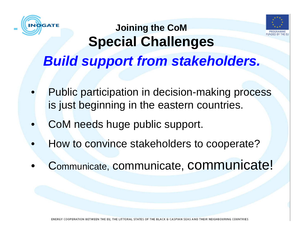



# **Joining the CoM Special ChallengesBuild support from stakeholders.**

- • Public participation in decision-making process is just beginning in the eastern countries.
- •CoM needs huge public support.
- •How to convince stakeholders to cooperate?
- •<sup>C</sup>ommunicate, communicate, communicate!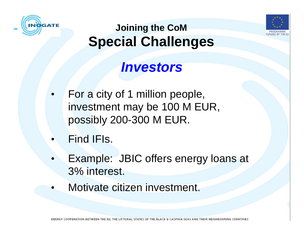



## **Investors**

- • For a city of 1 million people, investment may be 100 M EUR, possibly 200-300 M EUR.
- •Find IFIs.
- • Example: JBIC offers energy loans at 3% interest.
- •Motivate citizen investment.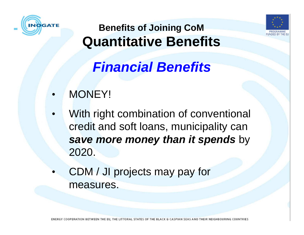



# **Financial Benefits**

- •MONEY!
- • With right combination of conventional credit and soft loans, municipality can **save more money than it spends** by 2020.
- • CDM / JI projects may pay for measures.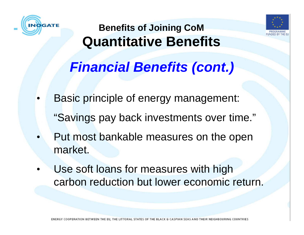



# **Financial Benefits (cont.)**

- • Basic principle of energy management: "Savings pay back investments over time."
- • Put most bankable measures on the open market.
- • Use soft loans for measures with high carbon reduction but lower economic return.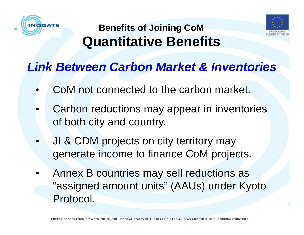



#### **Link Between Carbon Market & Inventories**

- •CoM not connected to the carbon market.
- • Carbon reductions may appear in inventories of both city and country.
- • JI & CDM projects on city territory may generate income to finance CoM projects.
- • Annex B countries may sell reductions as "assigned amount units" (AAUs) under Kyoto Protocol.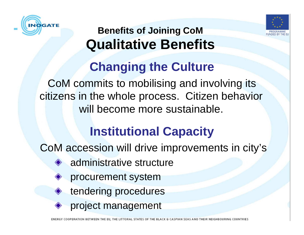



# **Changing the Culture**

CoM commits to mobilising and involving its citizens in the whole process. Citizen behavior will become more sustainable.

# **Institutional Capacity**

CoM accession will drive improvements in city's

- **◆ administrative structure** 
	- procurement system
	- tendering procedures
- ◆ project management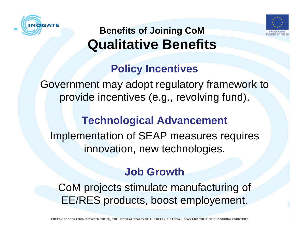



#### **Policy Incentives**

Government may adopt regulatory framework to provide incentives (e.g., revolving fund).

#### **Technological Advancement**

Implementation of SEAP measures requires innovation, new technologies.

#### **Job Growth**

CoM projects stimulate manufacturing of EE/RES products, boost employement.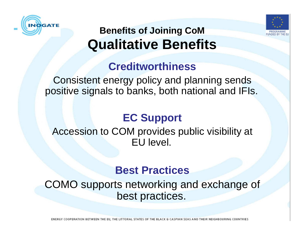



#### **Creditworthiness**

 Consistent energy policy and planning sends positive signals to banks, both national and IFIs.

#### **EC Support**

Accession to COM provides public visibility at EU level.

#### **Best Practices**

 COMO supports networking and exchange of best practices.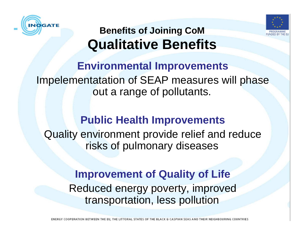



#### **Environmental Improvements** Impelementatation of SEAP measures will phase out a range of pollutants.

#### **Public Health Improvements**

 Quality environment provide relief and reduce risks of pulmonary diseases

#### **Improvement of Quality of Life** Reduced energy poverty, improved transportation, less pollution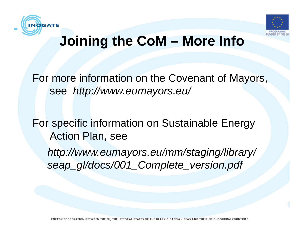



## **Joining the CoM – More Info**

For more information on the Covenant of Mayors, see http://www.eumayors.eu/

For specific information on Sustainable Energy Action Plan, see

http://www.eumayors.eu/mm/staging/library/seap\_gl/docs/001\_Complete\_version.pdf